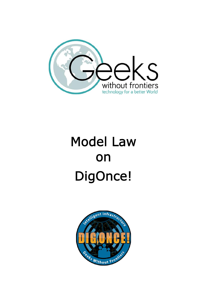

# **Model Law on DigOnce!**

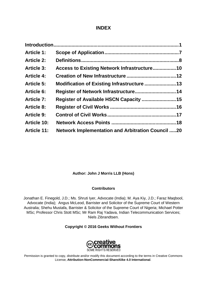#### **INDEX**

| <b>Article 1:</b>  |                                                          |  |
|--------------------|----------------------------------------------------------|--|
| <b>Article 2:</b>  |                                                          |  |
| <b>Article 3:</b>  |                                                          |  |
| <b>Article 4:</b>  |                                                          |  |
| <b>Article 5:</b>  |                                                          |  |
| <b>Article 6:</b>  |                                                          |  |
| <b>Article 7:</b>  |                                                          |  |
| <b>Article 8:</b>  |                                                          |  |
| <b>Article 9:</b>  |                                                          |  |
| <b>Article 10:</b> |                                                          |  |
| <b>Article 11:</b> | <b>Network Implementation and Arbitration Council 20</b> |  |

#### **Author: John J Morris LLB (Hons)**

#### **Contributors**

Jonathan E. Finegold, J.D.; Ms. Shruti Iyer, Advocate (India); M. Aya Kiy, J.D.; Faraz Maqbool, Advocate (India); Angus McLeod, Barrister and Solicitor of the Supreme Court of Western Australia; Shehu Mustafa, Barrister & Solicitor of the Supreme Court of Nigeria; Michael Potter MSc; Professor Chris Stott MSc; Mr Ram Raj Yadava, Indian Telecommunication Services; Niels Zibrandtsen.

#### **Copyright © 2016 Geeks Without Frontiers**



Permission is granted to copy, distribute and/or modify this document according to the terms in Creative Commons License, **Attribution-NonCommercial-ShareAlike 4.0 International**.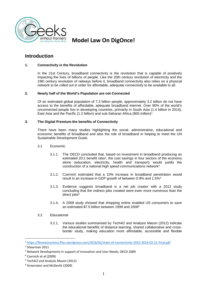

#### **Introduction**

#### **1. Connectivity is the Revolution**

In the 21st Century, broadband connectivity is the revolution that is capable of positively impacting the lives of billions of people. Like the 20th century revolution of electricity and the 19th century revolution of railways before it, broadband connectivity also relies on a physical network to be rolled out in order for affordable, adequate connectivity to be available to all.

#### **2. Nearly half of the World's Population are not Connected**

Of an estimated global population of 7.3 billion people, approximately 3.2 billion do not have access to the benefits of affordable, adequate broadband internet. Over 90% of the world's unconnected people live in developing countries, primarily in South Asia (1.4 billion in 2014), East Asia and the Pacific (1.2 billion) and sub-Saharan Africa (800 million)<sup>1</sup>

#### **3. The Digital Premium-the benefits of Connectivity**

There have been many studies highlighting the social, administrative, educational and economic benefits of broadband and also the role of broadband in helping to meet the UN Sustainable Development Goals.

- 3.1 Economic
	- 3.1.1. The OECD concluded that, based on investment in broadband producing an estimated 20:1 benefit ratio<sup>2</sup>, the cost savings in four sectors of the economy alone (education, electricity, health and transport) would justify the construction of a national high speed communications network<sup>3</sup>
	- 3.1.2. Czernich estimated that a 10% increase in broadband penetration would result in an increase in GDP growth of between 0.9% and 1.5%<sup>4</sup>
	- 3.1.3. Evidence suggests broadband is a net job creator with a 2012 study concluding that the indirect jobs created were even more numerous than the direct jobs<sup>5</sup>
	- 3.1.4. A 2009 study showed that shopping online enabled US consumers to save an estimated \$7.5 billion between 1999 and 2006<sup>6</sup>
- 3.2 Educational
	- 3.2.1. Various studies summarised by Tech4i2 and Analysis Mason (2012) indicate the educational benefits of distance learning, shared collaborative and cross border study, making education more affordable, accessible and flexible

<sup>1</sup> https://fbnewsroomus.files.wordpress.com/2016/02/state-of-connectivity-2015-2016-02-21-final.pdf

<sup>2</sup> Shearman 2011

<sup>&</sup>lt;sup>3</sup> Network Developments in support of innovation and User Needs, OECD 2009

<sup>4</sup> Czernich et al (2009)

<sup>5</sup> Tech4i2 and Analysis Mason (2012)

<sup>6</sup> Greenstein and McDevitt (2009)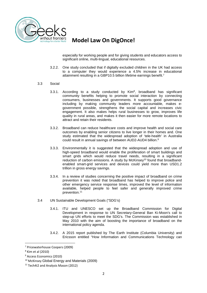

especially for working people and for giving students and educators access to significant online, multi-lingual, educational resources.

3.2.2. One study concluded that if digitally excluded children in the UK had access to a computer they would experience a 4.5% increase in educational attainment resulting in a GBP10.5 billion lifetime earnings benefit.<sup>7</sup>

#### 3.3 Social

- 3.3.1. According to a study conducted by Kim $^8$ , broadband has significant community benefits helping to promote social interaction by connecting consumers, businesses and governments. It supports good governance including by making community leaders more accountable, makes e government possible, strengthens the social capital and increases civic engagement. It also makes helps rural businesses to grow, improves life quality in rural areas, and makes it then easier for more remote locations to attract and retain their residents.
- 3.3.2. Broadband can reduce healthcare costs and improve health and social care outcomes by enabling senior citizens to live longer in their homes and. One study estimated that the widespread adoption of 'tele-health' in Australia could result in annual savings of between AUD2-AUD4 billion.<sup>9</sup>
- 3.3.3. Environmentally it is suggested that the widespread adoption and use of high-speed broadband would enable the proliferation of smart buildings and smart grids which would reduce travel needs, resulting in a significant reduction of carbon emissions. A study by McKinsey<sup>10</sup> found that broadbandenabled smart-grid services and devices could yield more than USD1.2 trillion in gross energy savings.
- 3.3.4. In a review of studies concerning the positive impact of broadband on crime prevention it was noted that broadband has helped to improve police and other emergency service response times, improved the level of information available, helped people to feel safer and generally improved crime prevention.<sup>11</sup>
- 3.4 UN Sustainable Development Goals ("SDG's)
	- 3.4.1. ITU and UNESCO set up the Broadband Commission for Digital Development in response to UN Secretary-General Ban Ki-Moon's call to step-up UN efforts to meet the SDG's. The Commission was established in May 2010 with the aim of boosting the importance of broadband on the international policy agenda.
	- 3.4.2. A 2015 report published by The Earth Institute (Columbia University) and Ericsson entitled "How Information and Communications Technology can

<sup>7</sup> Pricewaterhouse Coopers (2009)

<sup>8</sup> Kim et al (2010)

<sup>9</sup> Access Economics (2010)

<sup>10</sup> McKinsey Global Energy and Materials (2009)

<sup>&</sup>lt;sup>11</sup> Tech4i2 and Analysis Mason (2012)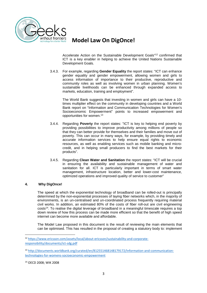

Accelerate Action on the Sustainable Development Goals"<sup>12</sup> confirmed that ICT is a key enabler in helping to achieve the United Nations Sustainable Development Goals.

3.4.3. For example, regarding **Gender Equality** the report states: "ICT can enhance gender equality and gender empowerment, allowing women and girls to access information of importance to their productive, reproductive and community roles as well as involving women in urban planning. Women's sustainable livelihoods can be enhanced through expanded access to markets, education, training and employment".

The World Bank suggests that investing in women and girls can have a 10 times multiplier effect on the community in developing countries and a World Bank report on "Information and Communication Technologies for Women's Socioeconomic Empowerment" points to increased empowerment and opportunities for women.<sup>13</sup>

- 3.4.4. Regarding **Poverty** the report states: "ICT is key to helping end poverty by providing possibilities to improve productivity among millions of people so that they can better provide for themselves and their families and move out of poverty. This can occur in many ways, for example, by providing timely and accurate information services to help ensure equal rights to economic resources, as well as enabling services such as mobile banking and micro credit, and in helping small producers to find the best markets for their products".
- 3.4.5. Regarding **Clean Water and Sanitation** the report states: "ICT will be crucial in ensuring the availability and sustainable management of water and sanitation for all. ICT is particularly important in terms of smart water management, infrastructure location, better and lower-cost maintenance, optimized operations and improved quality of service to customer"

#### **4. Why DigOnce!**

The speed at which the exponential technology of broadband can be rolled-out is principally determined by the non-exponential processes of laying fiber networks which, in the majority of environments, is an un-centralised and un-coordinated process frequently requiring material civil works. In addition, an estimated 80% of the costs of fiber roll-out are civil engineering costs<sup>14</sup> . To realise the digital leverage of broadband in a meaningful timescale requires a top down review of how this process can be made more efficient so that the benefit of high speed internet can become more available and affordable.

The Model Law proposed in this document is the result of reviewing the main elements that can be optimised. This has resulted in the proposal of creating a statutory body to: implement

<sup>12</sup> https://www.ericsson.com/assets/local/about-ericsson/sustainability-and-corporate responsibility/documents/ict-sdg.pdf

<sup>13</sup> http://documents.worldbank.org/curated/en/812551468148179172/Information-and-communication technologies-for-womens-socioeconomic-empowerment

<sup>14</sup> OECD 2008; WIK 2008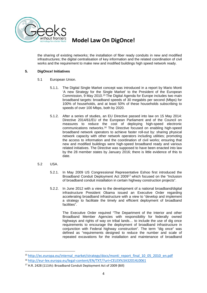

the sharing of existing networks; the installation of fiber ready conduits in new and modified infrastructures; the digital centralisation of key information and the related coordination of civil works and the requirement to make new and modified buildings high speed network ready.

#### **5. DigOnce! Initiatives**

- 5.1 European Union.
	- 5.1.1. The Digital Single Market concept was introduced in a report by Mario Monti 'A new Strategy for the Single Market' to the President of the European Commission, 9 May 2010.<sup>15</sup> The Digital Agenda for Europe includes two main broadband targets: broadband speeds of 30 megabits per second (Mbps) for 100% of households, and at least 50% of these households subscribing to speeds of over 100 Mbps, both by 2020.
	- 5.1.2. After a series of studies, an EU Directive passed into law on 15 May 2014: Directive 2014/61/EU of the European Parliament and of the Council on measures to reduce the cost of deploying high-speed electronic communications networks.<sup>16</sup> The Directive focused on enabling high-speed broadband network operators to achieve faster roll-out by: sharing physical network capacity with other network operators including utilities; promoting the access to information and the coordination of civil works; ensuring that new and modified buildings were high-speed broadband ready and various related initiatives. The Directive was supposed to have been enacted into law by the 28 member states by January 2016; there is little evidence of this to date.
- 5.2 USA.
	- 5.2.1. In May 2009 US Congressional Representative Eshoo first introduced the Broadband Conduit Deployment Act 2009<sup>17</sup> which focused on the "Inclusion of broadband conduit installation in certain highway construction projects".
	- 5.2.2. In June 2012 with a view to the development of a national broadband/digital infrastructure President Obama issued an Executive Order regarding accelerating broadband infrastructure with a view to "develop and implement a strategy to facilitate the timely and efficient deployment of broadband facilities".

The Executive Order required "The Department of the Interior and other Broadband Member Agencies with responsibility for federally owned highways and rights of way on tribal lands... to include the use of dig once requirements to encourage the deployment of broadband infrastructure in conjunction with Federal highway construction". The term "dig once" was defined as "requirements designed to reduce the number and scale of repeated excavations for the installation and maintenance of broadband

<sup>15</sup> http://ec.europa.eu/internal\_market/strategy/docs/monti\_report\_final\_10\_05\_2010\_en.pdf

<sup>16</sup> http://eur-lex.europa.eu/legal-content/EN/TXT/?uri=CELEX%3A32014L0061

<sup>17</sup> H.R. 2428 (111th): Broadband Conduit Deployment Act of 2009 (Bill)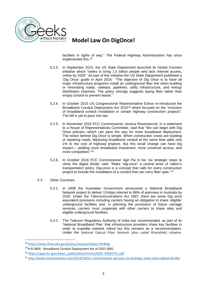

facilities in rights of way." The Federal Highway Administration has since implemented this.<sup>18</sup>

- 5.2.3. In September 2015, the US State Department launched its Global Connect initiative which "seeks to bring 1.5 billion people who lack Internet access, online by 2020". As part of this initiative the US State Department published a 'Dig Once' guide in April 2016: "The objective of Dig Once is to have all major infrastructure programs install an underground fiber link when building or renovating roads, railways, pipelines, utility infrastructure, and energy distribution channels. The policy strongly suggests laying fiber rather than empty conduit to prevent waste."
- 5.2.4. In October 2015 US Congressional Representative Eshoo re-introduced the Broadband Conduit Deployment Act 2015<sup>19</sup> which focused on the "Inclusion of broadband conduit installation in certain highway construction projects". The bill is yet to pass into law.
- 5.2.5. In November 2015 FCC Commissioner Jessica Rosenworcel, in a statement to a House of Representatives Committee, said that "We can begin with Dig Once policies—which can pave the way for more broadband deployment. The notion behind Dig Once is simple. When construction crews are building or repairing roads, deploying broadband conduit at the same time adds only 1% to the cost of highway projects. But this small change can have big impact— yielding more broadband investment, more universal access, and more competition."<sup>20</sup>
- 5.2.6. In October 2016 FCC Commissioner Agit Pai in his 'six strategic steps to close the digital divide' said: "Make "dig-once" a central tenet of nation's transportation policy. Dig-once is a concept that calls for every construction project to include the installation of a conduit that can carry fiber optic."<sup>21</sup>
- 5.3 Other Countries
	- 5.3.1. In 2009 the Australian Government announced a National Broadband Network project to deliver 12mbps internet to 98% of premises in Australia by 2020. Under the Telecommunications Act 1997, there are some Dig once equivalent provisions including carriers having an obligation to share 'eligible' underground facilities and, in planning the provisions of future carriage services, carriers must cooperate with other carriers to share sites and eligible underground facilities.
	- 5.3.2. The Telecom Regulatory Authority of India has recommended, as part of its 'National Broadband Plan' that infrastructure providers share key facilities in order to expedite network rollout but this remains as a recommendation. Under the National Optical Fiber Network (also called BharatNet) initiative,

<sup>18</sup> https://www.fhwa.dot.gov/policy/otps/workplan.cfm#dig

<sup>19</sup>H.R.3805 - Broadband Conduit Deployment Act of 2015 (Bill)

<sup>20</sup> https://apps.fcc.gov/edocs\_public/attachmatch/DOC-336457A1.pdf

<sup>21</sup> http://www.startlandnews.com/2016/10/fcc-commissioner-ajit-pais-six-strategic-steps-close-digital-divide/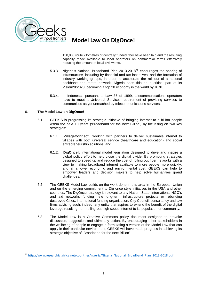

150,000 route kilometres of centrally funded fiber have been laid and the resulting capacity made available to local operators on commercial terms effectively reducing the amount of local civil works.

- 5.3.3. Nigeria's National Broadband Plan 2013-2018<sup>22</sup> encourages the sharing of infrastructure, including by financial and tax incentives, and the formation of industry working groups, in order to accelerate the roll out of a national backbone and metro network. Nigeria sees this as a critical part of its Vision20:2020: becoming a top 20 economy in the world by 2020.
- 5.3.4. In Indonesia, pursuant to Law 36 of 1999, telecommunications operators have to meet a Universal Services requirement of providing services to communities as yet unreached by telecommunications services.

#### 6. **The Model Law on DigOnce!**

- 6.1 GEEK'S is progressing its strategic initiative of bringing internet to a billion people within the next 10 years ('Broadband for the next Billion') by focussing on two key strategies:
	- 6.1.1. **'VillageConnect'**: working with partners to deliver sustainable internet to villages with both universal service (healthcare and education) and social entrepreneurship solutions, and
	- 6.1.2. '**DigOnce!:** international model legislation designed to drive and inspire a global policy effort to help close the digital divide. By promoting strategies designed to speed up and reduce the cost of rolling out fiber networks with a view to making broadband internet available to more people more quickly, and at a lower economic and environmental cost, GEEKS can help to empower leaders and decision makers to help solve humanities grand challenges.
- 6.2 The GEEKS Model Law builds on the work done in this area in the European Union and on the emerging commitment to Dig once style initiatives in the USA and other countries. The DigOnce! strategy is relevant to any Nation, State, international NGO's and aid networks funding new long-term infrastructure projects or rebuilding destroyed Cities, international funding organisation, City Council, consultancy and law firms advising such, indeed, any entity that aspires to extend the benefit of the digital leverage resulting from rolling-out high speed internet to its population or community.
- 6.3 The Model Law is a Creative Commons policy document designed to provoke discussion, suggestion and ultimately action. By encouraging other stakeholders in the wellbeing of people to engage in formulating a version of the Model Law that can apply in their particular environment, GEEKS will have made progress in achieving its strategic objective of 'Broadband for the next Billion'.

<sup>&</sup>lt;sup>22</sup> http://www.researchictafrica.net/countries/nigeria/Nigeria\_National\_Broadband\_Plan\_2013-2018.pdf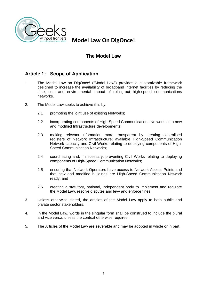

## **The Model Law**

## **Article 1: Scope of Application**

- 1. The Model Law on DigOnce! ("Model Law") provides a customizable framework designed to increase the availability of broadband internet facilities by reducing the time, cost and environmental impact of rolling-out high-speed communications networks.
- 2. The Model Law seeks to achieve this by:
	- 2.1 promoting the joint use of existing Networks;
	- 2.2 incorporating components of High-Speed Communications Networks into new and modified Infrastructure developments;
	- 2.3 making relevant information more transparent by creating centralised registers of Network Infrastructure; available High-Speed Communication Network capacity and Civil Works relating to deploying components of High- Speed Communication Networks;
	- 2.4 coordinating and, if necessary, preventing Civil Works relating to deploying components of High-Speed Communication Networks;
	- 2.5 ensuring that Network Operators have access to Network Access Points and that new and modified buildings are High-Speed Communication Network ready; and
	- 2.6 creating a statutory, national, independent body to implement and regulate the Model Law, resolve disputes and levy and enforce fines.
- 3. Unless otherwise stated, the articles of the Model Law apply to both public and private sector stakeholders.
- 4. In the Model Law, words in the singular form shall be construed to include the plural and vice versa, unless the context otherwise requires.
- 5. The Articles of the Model Law are severable and may be adopted in whole or in part.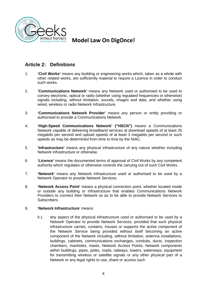

## **Article 2: Definitions**

- 1. **'Civil Works'** means any building or engineering works which, taken as a whole with other related works, are sufficiently material to require a Licence in order to conduct such works.
- 2. **'Communications Network'** means any Network used or authorised to be used to convey electronic, optical or radio (whether using regulated frequencies or otherwise) signals including, without limitation, sounds, images and data, and whether using wired, wireless or radio Network Infrastructure.
- 3. **'Communications Network Provider'** means any person or entity providing or authorised to provide a Communications Network.
- 4. **'High-Speed Communications Network' ("HSCN")** means a Communications Network capable of delivering broadband services at download speeds of at least 25 megabits per second and upload speeds of at least 3 megabits per second or such speeds as may be determined from time to time by the NIAC.
- 5. **'Infrastructure'** means any physical infrastructure of any nature whether including Network Infrastructure or otherwise.
- 6. **'Licence'** means the documented terms of approval of Civil Works by any competent authority which regulates or otherwise controls the carrying out of such Civil Works.
- 7. **'Network'** means any Network Infrastructure used or authorised to be used by a Network Operator to provide Network Services.
- 8. **'Network Access Point'** means a physical connection point, whether located inside or outside any building or Infrastructure that enables Communications Network Providers to connect their Network so as to be able to provide Network Services to Subscribers.

#### 9. '**Network Infrastructure**' means:

9.1. any aspect of the physical infrastructure used or authorised to be used by a Network Operator to provide Network Services, provided that such physical infrastructure carries, contains, houses or supports the active component of the Network Service being provided without itself becoming an active component of the Network including, without limitation, antenna installations, buildings, cabinets, communications exchanges, conduits, ducts, inspection chambers, manholes, masts, Network Access Points, Network components within buildings, pipes, poles, roads, railways, towers, waterways, equipment for transmitting wireless or satellite signals or any other physical part of a Network or any legal rights to use, share or access such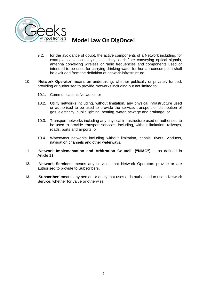

- 9.2. for the avoidance of doubt, the active components of a Network including, for example, cables conveying electricity, dark fiber conveying optical signals, antenna conveying wireless or radio frequencies and components used or intended to be used for carrying drinking water for human consumption shall be excluded from the definition of network infrastructure.
- 10. '**Network Operator**' means an undertaking, whether publically or privately funded, providing or authorised to provide Networks including but not limited to:
	- 10.1. Communications Networks; or
	- 10.2. Utility networks including, without limitation, any physical infrastructure used or authorised to be used to provide the service, transport or distribution of gas, electricity, public lighting, heating, water, sewage and drainage; or
	- 10.3. Transport networks including any physical infrastructure used or authorised to be used to provide transport services, including, without limitation, railways, roads, ports and airports; or
	- 10.4. Waterways networks including without limitation, canals, rivers, viaducts, navigation channels and other waterways.
- 11. **'Network Implementation and Arbitration Council' ("NIAC")** is as defined in Article 11.
- **12. 'Network Services'** means any services that Network Operators provide or are authorised to provide to Subscribers.
- **13. 'Subscriber'** means any person or entity that uses or is authorised to use a Network Service, whether for value or otherwise.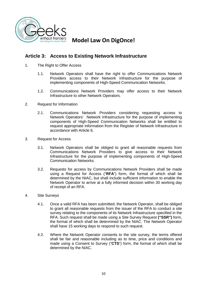

## **Article 3: Access to Existing Network Infrastructure**

- 1. The Right to Offer Access
	- 1.1. Network Operators shall have the right to offer Communications Network Providers access to their Network Infrastructure for the purpose of implementing components of High-Speed Communication Networks.
	- 1.2. Communications Network Providers may offer access to their Network Infrastructure to other Network Operators.
- 2. Request for Information
	- 2.1. Communications Network Providers considering requesting access to Network Operators' Network Infrastructure for the purpose of implementing components of High-Speed Communication Networks shall be entitled to request appropriate information from the Register of Network Infrastructure in accordance with Article 6.
- 3. Request for Access
	- 3.1. Network Operators shall be obliged to grant all reasonable requests from Communications Network Providers to give access to their Network Infrastructure for the purpose of implementing components of High-Speed Communication Networks.
	- 3.2. Requests for access by Communications Network Providers shall be made using a Request for Access ("**RFA**") form, the format of which shall be determined by the NIAC, but shall include sufficient information to enable the Network Operator to arrive at a fully informed decision within 30 working day of receipt of an RFA.
- 4. Site Surveys
	- 4.1. Once a valid RFA has been submitted, the Network Operator, shall be obliged to grant all reasonable requests from the issuer of the RFA to conduct a site survey relating to the components of its Network Infrastructure specified in the RFA. Such request shall be made using a Site Survey Request **("SSR")** form, the format of which shall be determined by the NIAC. The Network Operator shall have 15 working days to respond to such request.
	- 4.2. Where the Network Operator consents to the site survey, the terms offered shall be fair and reasonable including as to time, price and conditions and made using a Consent to Survey ("CTS") form, the format of which shall be determined by the NIAC.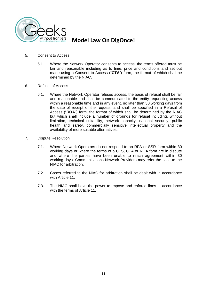

- 5. Consent to Access
	- 5.1. Where the Network Operator consents to access, the terms offered must be fair and reasonable including as to time, price and conditions and set out made using a Consent to Access ("CTA") form, the format of which shall be determined by the NIAC.
- 6. Refusal of Access
	- 6.1. Where the Network Operator refuses access, the basis of refusal shall be fair and reasonable and shall be communicated to the entity requesting access within a reasonable time and in any event, no later than 30 working days from the date of receipt of the request, and shall be specified in a Refusal of Access ("ROA") form, the format of which shall be determined by the NIAC but which shall include a number of grounds for refusal including, without limitation, technical suitability, network capacity, national security, public health and safety, commercially sensitive intellectual property and the availability of more suitable alternatives.
- 7. Dispute Resolution
	- 7.1. Where Network Operators do not respond to an RFA or SSR form within 30 working days or where the terms of a CTS, CTA or ROA form are in dispute and where the parties have been unable to reach agreement within 30 working days, Communications Network Providers may refer the case to the NIAC for arbitration.
	- 7.2. Cases referred to the NIAC for arbitration shall be dealt with in accordance with Article 11.
	- 7.3. The NIAC shall have the power to impose and enforce fines in accordance with the terms of Article 11.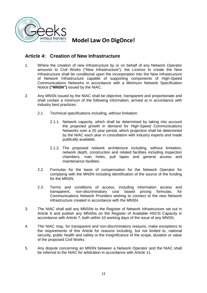

## **Article 4: Creation of New Infrastructure**

- 1. Where the creation of new Infrastructure by or on behalf of any Network Operator amounts to Civil Works ("New Infrastructure"), the Licence to create the New Infrastructure shall be conditional upon the incorporation into the New Infrastructure of Network Infrastructure capable of supporting components of High-Speed Communications Networks in accordance with a Minimum Network Specification Notice **("MNSN")** issued by the NIAC.
- 2. Any MNSN issued by the NIAC shall be objective, transparent and proportionate and shall contain a minimum of the following information, arrived at in accordance with industry best practices:
	- 2.1. Technical specifications including, without limitation:
		- 2.1.1. Network capacity, which shall be determined by taking into account the projected growth in demand for High-Speed Communications Networks over a 20 year period, which projection shall be determined by the NIAC each year in consultation with industry experts and made publically available;
		- 2.1.2. The proposed network architecture including, without limitation, network depth, construction and related facilities including inspection chambers, man holes, pull tapes and general access and maintenance facilities.
	- 2.2. Formulas for the basis of compensation for the Network Operator for complying with the MNSN including identification of the source of the funding for the MNSN.
	- 2.3. Terms and conditions of access, including information access and transparent, non-discriminatory cost based pricing formulas, for Communications Network Providers wishing to connect to the new Network Infrastructure created in accordance with the MNSN.
- 3. The NIAC shall add any MNSNs to the Register of Network Infrastructure set out in Article 6 and publish any MNSNs on the Register of Available HSCN Capacity in accordance with Article 7, both within 10 working days of the issue of any MNSN.
- 4. The NIAC may, for transparent and non-discriminatory reasons, make exceptions to the requirements of this Article for reasons including, but not limited to, national security, public health and safety or the insignificance of the scope, duration or value of the proposed Civil Works.
- 5. Any dispute concerning an MNSN between a Network Operator and the NIAC shall be referred to the NIAC for arbitration in accordance with Article 11.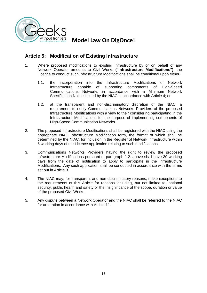

## **Article 5: Modification of Existing Infrastructure**

- 1. Where proposed modifications to existing Infrastructure by or on behalf of any Network Operator amounts to Civil Works **("Infrastructure Modifications"),** the Licence to conduct such Infrastructure Modifications shall be conditional upon either:
	- 1.1. the incorporation into the Infrastructure Modifications of Network Infrastructure capable of supporting components of High-Speed Communications Networks in accordance with a Minimum Network Specification Notice issued by the NIAC in accordance with Article 4; or
	- 1.2. at the transparent and non-discriminatory discretion of the NIAC, a requirement to notify Communications Networks Providers of the proposed Infrastructure Modifications with a view to their considering participating in the Infrastructure Modifications for the purpose of implementing components of High-Speed Communication Networks.
- 2. The proposed Infrastructure Modifications shall be registered with the NIAC using the appropriate NIAC Infrastructure Modification form, the format of which shall be determined by the NIAC, for inclusion in the Register of Network Infrastructure within 5 working days of the Licence application relating to such modifications.
- 3. Communications Networks Providers having the right to review the proposed Infrastructure Modifications pursuant to paragraph 1.2. above shall have 30 working days from the date of notification to apply to participate in the Infrastructure Modifications. Any such application shall be conducted in accordance with the terms set out in Article 3.
- 4. The NIAC may, for transparent and non-discriminatory reasons, make exceptions to the requirements of this Article for reasons including, but not limited to, national security, public health and safety or the insignificance of the scope, duration or value of the proposed Civil Works.
- 5. Any dispute between a Network Operator and the NIAC shall be referred to the NIAC for arbitration in accordance with Article 11.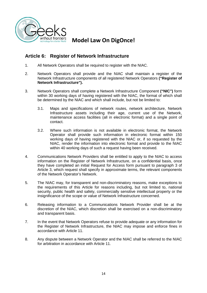

#### **Article 6: Register of Network Infrastructure**

- 1. All Network Operators shall be required to register with the NIAC.
- 2. Network Operators shall provide and the NIAC shall maintain a register of the Network Infrastructure components of all registered Network Operators **("Register of Network Infrastructure").**
- 3. Network Operators shall complete a Network Infrastructure Component **("NIC")** form within 30 working days of having registered with the NIAC, the format of which shall be determined by the NIAC and which shall include, but not be limited to:
	- 3.1. Maps and specifications of network routes, network architecture, Network Infrastructure assets including their age, current use of the Network, maintenance access facilities (all in electronic format) and a single point of contact.
	- 3.2. Where such information is not available in electronic format, the Network Operator shall provide such information in electronic format within 150 working days of having registered with the NIAC or, if so requested by the NIAC, render the information into electronic format and provide to the NIAC within 40 working days of such a request having been received.
- 4. Communications Network Providers shall be entitled to apply to the NIAC to access information on the Register of Network Infrastructure, on a confidential basis, once they have completed an initial Request for Access form pursuant to paragraph 3 of Article 3, which request shall specify in approximate terms, the relevant components of the Network Operator's Network.
- 5. The NIAC may, for transparent and non-discriminatory reasons, make exceptions to the requirements of this Article for reasons including, but not limited to, national security, public health and safety, commercially sensitive intellectual property or the insignificance of the scope or value of Network Infrastructure concerned.
- 6. Releasing information to a Communications Network Provider shall be at the discretion of the NIAC, which discretion shall be exercised on a non-discriminatory and transparent basis.
- 7. In the event that Network Operators refuse to provide adequate or any information for the Register of Network Infrastructure, the NIAC may impose and enforce fines in accordance with Article 11.
- 8. Any dispute between a Network Operator and the NIAC shall be referred to the NIAC for arbitration in accordance with Article 11.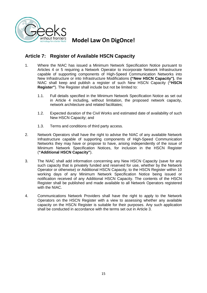

## **Article 7: Register of Available HSCN Capacity**

- 1. Where the NIAC has issued a Minimum Network Specification Notice pursuant to Articles 4 or 5 requiring a Network Operator to incorporate Network Infrastructure capable of supporting components of High-Speed Communication Networks into New Infrastructure or into Infrastructure Modifications **("New HSCN Capacity")**, the NIAC shall keep and publish a register of such New HSCN Capacity (**"HSCN Register"**). The Register shall include but not be limited to:
	- 1.1. Full details specified in the Minimum Network Specification Notice as set out in Article 4 including, without limitation, the proposed network capacity, network architecture and related facilitates;
	- 1.2. Expected duration of the Civil Works and estimated date of availability of such New HSCN Capacity; and
	- 1.3. Terms and conditions of third party access.
- 2. Network Operators shall have the right to advise the NIAC of any available Network Infrastructure capable of supporting components of High-Speed Communication Networks they may have or propose to have, arising independently of the issue of Minimum Network Specification Notices, for inclusion in the HSCN Register (**"Additional HSCN Capacity"**).
- 3. The NIAC shall add information concerning any New HSCN Capacity (save for any such capacity that is privately funded and reserved for use, whether by the Network Operator or otherwise) or Additional HSCN Capacity, to the HSCN Register within 10 working days of any Minimum Network Specification Notice being issued or notification received of any Additional HSCN Capacity. The contents of the HSCN Register shall be published and made available to all Network Operators registered with the NIAC.
- 4. Communications Network Providers shall have the right to apply to the Network Operators on the HSCN Register with a view to assessing whether any available capacity on the HSCN Register is suitable for their purposes. Any such application shall be conducted in accordance with the terms set out in Article 3.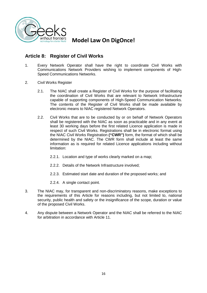

## **Article 8: Register of Civil Works**

- 1. Every Network Operator shall have the right to coordinate Civil Works with Communications Network Providers wishing to implement components of High- Speed Communications Networks.
- 2. Civil Works Register
	- 2.1. The NIAC shall create a Register of Civil Works for the purpose of facilitating the coordination of Civil Works that are relevant to Network Infrastructure capable of supporting components of High-Speed Communication Networks. The contents of the Register of Civil Works shall be made available by electronic means to NIAC registered Network Operators.
	- 2.2. Civil Works that are to be conducted by or on behalf of Network Operators shall be registered with the NIAC as soon as practicable and in any event at least 30 working days before the first related Licence application is made in respect of such Civil Works. Registrations shall be in electronic format using the NIAC Civil Works Registration **("CWR")** form, the format of which shall be determined by the NIAC. The CWR form shall include at least the same information as is required for related Licence applications including without limitation:
		- 2.2.1. Location and type of works clearly marked on a map;
		- 2.2.2. Details of the Network Infrastructure involved;
		- 2.2.3. Estimated start date and duration of the proposed works; and
		- 2.2.4. A single contact point.
- 3. The NIAC may, for transparent and non-discriminatory reasons, make exceptions to the requirements of this Article for reasons including, but not limited to, national security, public health and safety or the insignificance of the scope, duration or value of the proposed Civil Works.
- 4. Any dispute between a Network Operator and the NIAC shall be referred to the NIAC for arbitration in accordance with Article 11.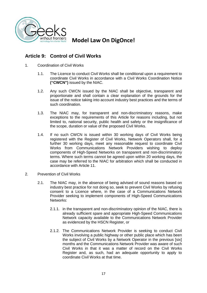

## **Article 9: Control of Civil Works**

- 1. Coordination of Civil Works
	- 1.1. The Licence to conduct Civil Works shall be conditional upon a requirement to coordinate Civil Works in accordance with a Civil Works Coordination Notice **("CWCN")** issued by the NIAC.
	- 1.2. Any such CWCN issued by the NIAC shall be objective, transparent and proportionate and shall contain a clear explanation of the grounds for the issue of the notice taking into account industry best practices and the terms of such coordination.
	- 1.3. The NIAC may, for transparent and non-discriminatory reasons, make exceptions to the requirements of this Article for reasons including, but not limited to, national security, public health and safety or the insignificance of the scope, duration or value of the proposed Civil Works.
	- 1.4. If no such CWCN is issued within 30 working days of Civil Works being registered with the Register of Civil Works, Network Operators shall, for a further 30 working days, meet any reasonable request to coordinate Civil Works from Communications Network Providers wishing to deploy components of High-Speed Networks on transparent and non-discriminatory terms. Where such terms cannot be agreed upon within 20 working days, the case may be referred to the NIAC for arbitration which shall be conducted in accordance with Article 11.
- 2. Prevention of Civil Works
	- 2.1. The NIAC may, in the absence of being advised of sound reasons based on industry best practice for not doing so, seek to prevent Civil Works by refusing consent to a Licence where, in the case of a Communications Network Provider seeking to implement components of High-Speed Communications Networks:
		- 2.1.1. in the transparent and non-discriminatory opinion of the NIAC, there is already sufficient spare and appropriate High-Speed Communications Network capacity available to the Communications Network Provider as evidenced by the HSCN Register, or
		- 2.1.2. The Communications Network Provider is seeking to conduct Civil Works involving a public highway or other public place which has been the subject of Civil Works by a Network Operator in the previous [six] months and the Communications Network Provider was aware of such Civil Works in that it was a matter of record on the Civil Works Register and, as such, had an adequate opportunity to apply to coordinate Civil Works at that time.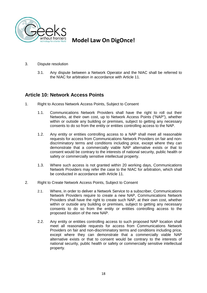

- 3. Dispute resolution
	- 3.1. Any dispute between a Network Operator and the NIAC shall be referred to the NIAC for arbitration in accordance with Article 11.

#### **Article 10: Network Access Points**

- 1. Right to Access Network Access Points, Subject to Consent
	- 1.1. Communications Network Providers shall have the right to roll out their Networks, at their own cost, up to Network Access Points ("NAP"), whether within or outside any building or premises, subject to getting any necessary consents to do so from the entity or entities controlling access to the NAP.
	- 1.2. Any entity or entities controlling access to a NAP shall meet all reasonable requests for access from Communications Network Providers on fair and non discriminatory terms and conditions including price, except where they can demonstrate that a commercially viable NAP alternative exists or that to consent would be contrary to the interests of national security, public health or safety or commercially sensitive intellectual property.
	- 1.3. Where such access is not granted within 20 working days, Communications Network Providers may refer the case to the NIAC for arbitration, which shall be conducted in accordance with Article 11.
- 2. Right to Create Network Access Points, Subject to Consent
	- 2.1. Where, in order to deliver a Network Service to a subscriber, Communications Network Providers require to create a new NAP, Communications Network Providers shall have the right to create such NAP, at their own cost, whether within or outside any building or premises, subject to getting any necessary consents to do so from the entity or entities controlling access to the proposed location of the new NAP.
	- 2.2. Any entity or entities controlling access to such proposed NAP location shall meet all reasonable requests for access from Communications Network Providers on fair and non-discriminatory terms and conditions including price, except where they can demonstrate that a commercially viable NAP alternative exists or that to consent would be contrary to the interests of national security, public health or safety or commercially sensitive intellectual property.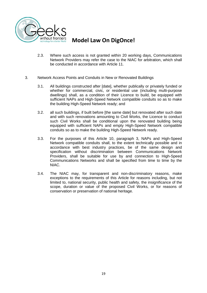

- 2.3. Where such access is not granted within 20 working days, Communications Network Providers may refer the case to the NIAC for arbitration, which shall be conducted in accordance with Article 11.
- 3. Network Access Points and Conduits in New or Renovated Buildings
	- 3.1. All buildings constructed after [date], whether publically or privately funded or whether for commercial, civic, or residential use (including multi-purpose dwellings) shall, as a condition of their Licence to build, be equipped with sufficient NAPs and High-Speed Network compatible conduits so as to make the building High-Speed Network ready; and
	- 3.2. all such buildings, if built before [the same date] but renovated after such date and with such renovations amounting to Civil Works, the Licence to conduct such Civil Works shall be conditional upon the renovated building being equipped with sufficient NAPs and empty High-Speed Network compatible conduits so as to make the building High-Speed Network ready.
	- 3.3. For the purposes of this Article 10, paragraph 3, NAPs and High-Speed Network compatible conduits shall, to the extent technically possible and in accordance with best industry practices, be of the same design and specification without discrimination between Communications Network Providers, shall be suitable for use by and connection to High-Speed Communications Networks and shall be specified from time to time by the NIAC.
	- 3.4. The NIAC may, for transparent and non-discriminatory reasons, make exceptions to the requirements of this Article for reasons including, but not limited to, national security, public health and safety, the insignificance of the scope, duration or value of the proposed Civil Works, or for reasons of conservation or preservation of national heritage.